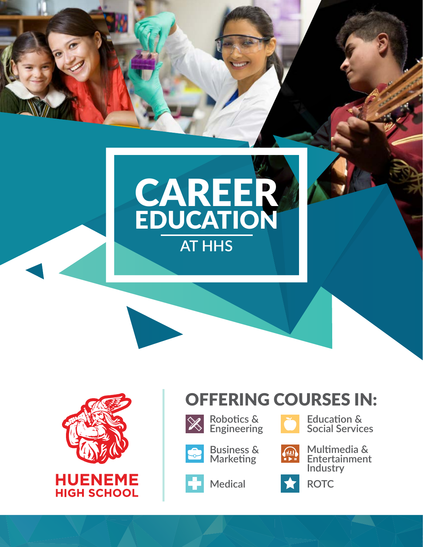



### OFFERING COURSES IN:



**Robotics & Engineering**



**Education & Social Services**



**Business & Marketing**

**Medical**



**Multimedia & Entertainment Industry**



**ROTC**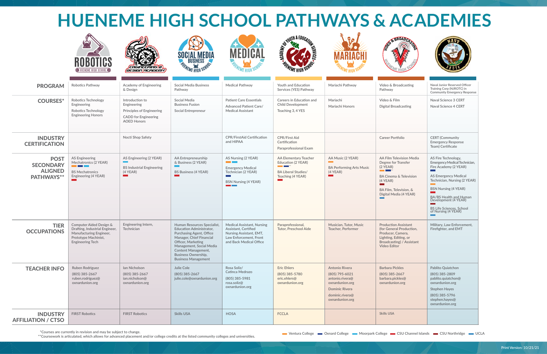# **HUENEME HIGH SCHOOL PATHWAYS & ACADEMIES**

|                                                                 | <u>Z  ∖</u><br><b>(C</b> HUENEME HIGH SCHOOL <b>C</b> )                                                                                 | <b>ENGINEERING G)</b><br><i><b>DESIGN ACADEMY</b></i>                                                                   | <b>MEDIA</b><br><b>BUSINESS</b>                                                                                                                                                                                                                                           |                                                                                                                                                                | TH & EDUCATION SEE<br><b>RANEWY</b>                                                                                                            |                                                                                                                                       | SED & BROADCASTER                                                                                                                                                                                 |                                                                                                                                                                                                                                                                                                                              |
|-----------------------------------------------------------------|-----------------------------------------------------------------------------------------------------------------------------------------|-------------------------------------------------------------------------------------------------------------------------|---------------------------------------------------------------------------------------------------------------------------------------------------------------------------------------------------------------------------------------------------------------------------|----------------------------------------------------------------------------------------------------------------------------------------------------------------|------------------------------------------------------------------------------------------------------------------------------------------------|---------------------------------------------------------------------------------------------------------------------------------------|---------------------------------------------------------------------------------------------------------------------------------------------------------------------------------------------------|------------------------------------------------------------------------------------------------------------------------------------------------------------------------------------------------------------------------------------------------------------------------------------------------------------------------------|
| <b>PROGRAM</b>                                                  | Robotics Pathway                                                                                                                        | <b>Academy of Engineering</b><br>& Design                                                                               | <b>Social Media Business</b><br>Pathway                                                                                                                                                                                                                                   | <b>Medical Pathway</b>                                                                                                                                         | Youth and Education<br>Services (YES) Pathway                                                                                                  | Mariachi Pathway                                                                                                                      | Video & Broadcasting<br>Pathway                                                                                                                                                                   | Naval Junior Reserved Officer<br>Training Corp (NJROTC) in<br><b>Community Emergency Response</b>                                                                                                                                                                                                                            |
| <b>COURSES*</b>                                                 | <b>Robotics Technology</b><br>Engineering<br><b>Robotics Technology</b><br><b>Engineering Honors</b>                                    | Introduction to<br>Engineering<br><b>Principles of Engineering</b><br><b>CADD</b> for Engineering<br><b>AOED Honors</b> | Social Media<br><b>Business Fusion</b><br>Social Entrepreneur                                                                                                                                                                                                             | <b>Patient Care Essentials</b><br><b>Advanced Patient Care/</b><br><b>Medical Assistant</b>                                                                    | Careers in Education and<br><b>Child Development</b><br>Teaching 3, 4 YES                                                                      | Mariachi<br>Mariachi Honors                                                                                                           | Video & Film<br><b>Digital Broadcasting</b>                                                                                                                                                       | Naval Science 3 CERT<br>Naval Science 4 CERT                                                                                                                                                                                                                                                                                 |
| <b>INDUSTRY</b><br><b>CERTIFICATION</b>                         |                                                                                                                                         | Nocti Shop Safety                                                                                                       |                                                                                                                                                                                                                                                                           | <b>CPR/FirstAid Certification</b><br>and HIPAA                                                                                                                 | <b>CPR/First Aid</b><br>Certification<br><b>Paraprofessional Exam</b>                                                                          |                                                                                                                                       | <b>Career Portfolio</b>                                                                                                                                                                           | <b>CERT</b> (Community<br><b>Emergency Response</b><br>Team) Certificate                                                                                                                                                                                                                                                     |
| <b>POST</b><br><b>SECONDARY</b><br><b>ALIGNED</b><br>PATHWAYS** | <b>AS Engineering</b><br>Mechatronics (2 YEAR)<br><b>The Common State</b><br><b>BS Mechatronics</b><br>Engineering (4 YEAR)             | AS Engineering (2 YEAR)<br>$\sim 10^{-1}$<br><b>BS Industrial Engineering</b><br>$(4$ YEAR)<br><b>Contract</b>          | AA Entrepreneurship<br>& Business (2 YEAR)<br><b>BS Business (4 YEAR)</b>                                                                                                                                                                                                 | AS Nursing (2 YEAR)<br><b>Committee</b><br><b>Emergency Medical</b><br>Technician (2 YEAR)<br><b>BSN Nursing (4 YEAR)</b><br><b>Contract Contract Contract</b> | <b>AA Elementary Teacher</b><br>Education (2 YEAR)<br><b>The Committee of the Committee</b><br><b>BA Liberal Studies/</b><br>Teaching (4 YEAR) | AA Music (2 YEAR)<br><b>BA Performing Arts Music</b><br>$(4$ YEAR)<br><b>Contract</b>                                                 | AA Film Television Media<br>Degree for Transfer<br>$(2$ YEAR)<br><b>The Common Section</b><br><b>BA Cinema &amp; Television</b><br>$(4$ YEAR)<br>BA Film, Television, &<br>Digital Media (4 YEAR) | AS Fire Technology,<br>Emergency Medical Technician,<br>Fire Academy (2 YEAR)<br>an an<br><b>AS Emergency Medical</b><br>Technician, Nursing (2 YEAR)<br><b>BSN Nursing (4 YEAR)</b><br>BA/BS Health and Human<br>Development (4 YEAR)<br>an an<br><b>BS Life Sciences, School</b><br>of Nursing (4 YEAR)<br><b>Contract</b> |
| <b>TIER</b><br><b>OCCUPATIONS</b>                               | Computer Aided Design &<br>Drafting, Industrial Engineer,<br>Manufacturing Engineer,<br>Prototype Machinist,<br><b>Engineering Tech</b> | Engineering Intern,<br>Technician                                                                                       | Human Resources Specialist,<br><b>Education Administrator,</b><br><b>Purchasing Agent, Office</b><br>Manager, Chief Financial<br>Officer, Marketing<br>Management, Social Media<br><b>Content Management,</b><br><b>Business Ownership,</b><br><b>Business Management</b> | <b>Medical Assistant, Nursing</b><br>Assistant, Certified<br>Nursing Assistant, EMT,<br>Law Enforcement, Front<br>and Back Medical Office                      | Paraprofessional,<br><b>Tutor, Preschool Aide</b>                                                                                              | Musician, Tutor, Music<br>Teacher, Performer                                                                                          | <b>Production Assistant</b><br>(for General Production.<br>Producer, Camera,<br>Lighting, Editing, or<br>Broadcasting) / Assistant<br>Video Editor                                                | Military, Law Enforcement,<br>Firefighter, and EMT                                                                                                                                                                                                                                                                           |
| <b>TEACHER INFO</b>                                             | Ruben Rodriguez<br>(805) 385-2667<br>ruben.rodriguez@<br>oxnardunion.org                                                                | lan Nicholson<br>(805) 385-2667<br>ian.nicholson@<br>oxnardunion.org                                                    | Julie Cole<br>(805) 385-2667<br>julie.cole@oxnardunion.org                                                                                                                                                                                                                | Rosa Soliz/<br>Catinca Medrazo<br>(805) 385-5981<br>rosa.soliz@<br>oxnardunion.org                                                                             | <b>Eric Ehlers</b><br>(805) 385-5780<br>eric.ehlers@<br>oxnardunion.org                                                                        | Antonio Rivera<br>(805) 795-6021<br>antonio.rivera@<br>oxnardunion.org<br><b>Dominic Rivera</b><br>dominic.rivera@<br>oxnardunion.org | <b>Barbara Pickles</b><br>(805) 385-2667<br>barbara.pickles@<br>oxnardunion.org                                                                                                                   | Pablito Quiatchon<br>(805) 385-2809<br>pablito.quiatchon@<br>oxnardunion.org<br><b>Stephen Hayes</b><br>(805) 385-5796<br>stephen.hayes@<br>oxnardunion.org                                                                                                                                                                  |
| <b>INDUSTRY</b><br><b>AFFILIATION / CTSO</b>                    | <b>FIRST Robotics</b>                                                                                                                   | <b>FIRST Robotics</b>                                                                                                   | <b>Skills USA</b>                                                                                                                                                                                                                                                         | <b>HOSA</b>                                                                                                                                                    | <b>FCCLA</b>                                                                                                                                   |                                                                                                                                       | <b>Skills USA</b>                                                                                                                                                                                 |                                                                                                                                                                                                                                                                                                                              |

 **\*Courses are currently in revision and may be subject to change.**

**\*\*Coursework is articulated, which allows for advanced placement and/or college credits at the listed community colleges and universities.**